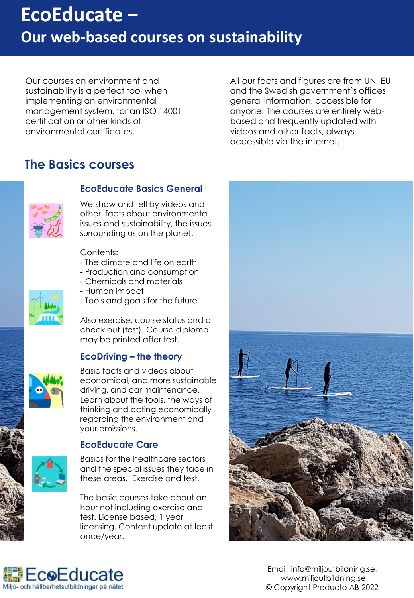# **EcoEducate − Our web-based courses on sustainability**

Our courses on environment and sustainability is a perfect tool when implementing an environmental management system, for an ISO 14001 certification or other kinds of environmental certificates.

All our facts and figures are from UN, EU and the Swedish government`s offices general information, accessible for anyone. The courses are entirely webbased and frequently updated with videos and other facts, always accessible via the internet.

### **The Basics courses**



#### **EcoEducate Basics General**

We show and tell by videos and other facts about environmental issues and sustainability, the issues surrounding us on the planet.

Contents:

- The climate and life on earth
- Production and consumption
- Chemicals and materials
- Human impact
- Tools and goals for the future

Also exercise, course status and a check out (test). Course diploma may be printed after test.

#### **EcoDriving – the theory**



**Basic facts and videos about**<br>economical and more surfait economical, and more sustainable driving, and car maintenance. Learn about the tools, the ways of thinking and acting economically regarding the environment and your emissions.

#### **EcoEducate Care**

Basics for the healthcare sectors and the special issues they face in these areas. Exercise and test.

The basic courses take about an hour not including exercise and test. License based, 1 year licensing. Content update at least once/year.





Email: info@miljoutbildning.se, www.miljoutbildning.se © Copyright Preducto AB 2022